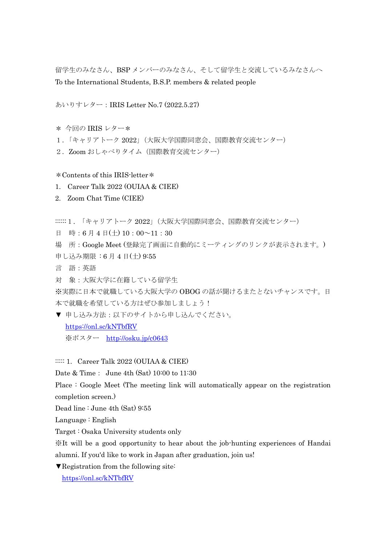留学生のみなさん、BSP メンバーのみなさん、そして留学生と交流しているみなさんへ To the International Students, B.S.P. members & related people

あいりすレター:IRIS Letter No.7 (2022.5.27)

- \* 今回の IRIS レター\*
- 1.「キャリアトーク 2022」(大阪大学国際同窓会、国際教育交流センター)
- 2. Zoom おしゃべりタイム (国際教育交流センター)
- \*Contents of this IRIS-letter\*
- 1. Career Talk 2022 (OUIAA & CIEE)
- 2. Zoom Chat Time (CIEE)
- ::::::1. 「キャリアトーク 2022」(大阪大学国際同窓会、国際教育交流センター)
- 日 時:6月4日(土) 10:00~11:30
- 場 所:Google Meet (登録完了画面に自動的にミーティングのリンクが表示されます。)
- 申し込み期限 : 6 月 4 日(土) 9:55
- 言 語:英語
- 対 象:大阪大学に在籍している留学生

※実際に日本で就職している大阪大学の OBOG の話が聞けるまたとないチャンスです。日 本で就職を希望している方はぜひ参加しましょう!

▼ 申し込み方法:以下のサイトから申し込んでください。

<https://onl.sc/kNTbfRV>

※ポスター <http://osku.jp/c0643>

::::: 1. Career Talk 2022 (OUIAA & CIEE)

Date & Time: June 4th (Sat) 10:00 to 11:30

Place : Google Meet (The meeting link will automatically appear on the registration completion screen.)

Dead line : June 4th (Sat) 9:55

Language : English

Target : Osaka University students only

※It will be a good opportunity to hear about the job-hunting experiences of Handai alumni. If you'd like to work in Japan after graduation, join us!

▼Registration from the following site:

<https://onl.sc/kNTbfRV>